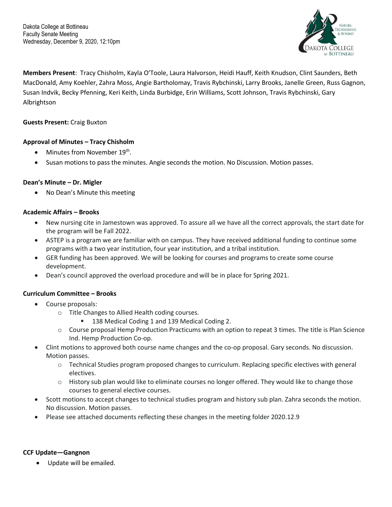Dakota College at Bottineau Faculty Senate Meeting Wednesday, December 9, 2020, 12:10pm



**Members Present**: Tracy Chisholm, Kayla O'Toole, Laura Halvorson, Heidi Hauff, Keith Knudson, Clint Saunders, Beth MacDonald, Amy Koehler, Zahra Moss, Angie Bartholomay, Travis Rybchinski, Larry Brooks, Janelle Green, Russ Gagnon, Susan Indvik, Becky Pfenning, Keri Keith, Linda Burbidge, Erin Williams, Scott Johnson, Travis Rybchinski, Gary Albrightson

### **Guests Present:** Craig Buxton

# **Approval of Minutes – Tracy Chisholm**

- Minutes from November 19<sup>th</sup>.
- Susan motions to pass the minutes. Angie seconds the motion. No Discussion. Motion passes.

### **Dean's Minute – Dr. Migler**

• No Dean's Minute this meeting

### **Academic Affairs – Brooks**

- New nursing cite in Jamestown was approved. To assure all we have all the correct approvals, the start date for the program will be Fall 2022.
- ASTEP is a program we are familiar with on campus. They have received additional funding to continue some programs with a two year institution, four year institution, and a tribal institution.
- GER funding has been approved. We will be looking for courses and programs to create some course development.
- Dean's council approved the overload procedure and will be in place for Spring 2021.

### **Curriculum Committee – Brooks**

- Course proposals:
	- o Title Changes to Allied Health coding courses.
		- 138 Medical Coding 1 and 139 Medical Coding 2.
	- o Course proposal Hemp Production Practicums with an option to repeat 3 times. The title is Plan Science Ind. Hemp Production Co-op.
- Clint motions to approved both course name changes and the co-op proposal. Gary seconds. No discussion. Motion passes.
	- $\circ$  Technical Studies program proposed changes to curriculum. Replacing specific electives with general electives.
	- $\circ$  History sub plan would like to eliminate courses no longer offered. They would like to change those courses to general elective courses.
- Scott motions to accept changes to technical studies program and history sub plan. Zahra seconds the motion. No discussion. Motion passes.
- Please see attached documents reflecting these changes in the meeting folder 2020.12.9

### **CCF Update—Gangnon**

• Update will be emailed.